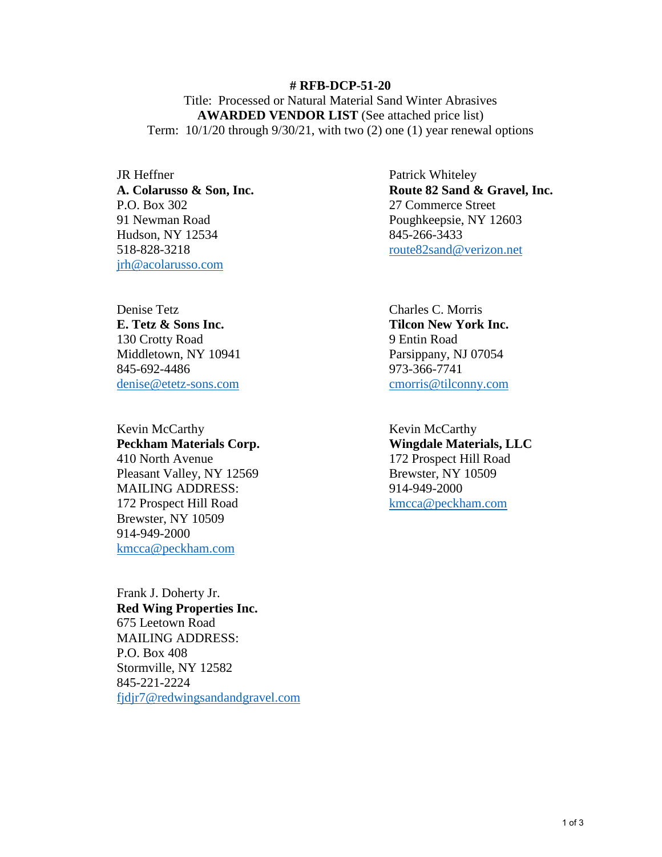**# RFB-DCP-51-20**  Title: Processed or Natural Material Sand Winter Abrasives **AWARDED VENDOR LIST** (See attached price list) Term: 10/1/20 through 9/30/21, with two (2) one (1) year renewal options

JR Heffner **A. Colarusso & Son, Inc.**  P.O. Box 302 91 Newman Road Hudson, NY 12534 518-828-3218 [jrh@acolarusso.com](mailto:jrh@acolarusso.com) 

Denise Tetz **E. Tetz & Sons Inc.** 130 Crotty Road Middletown, NY 10941 845-692-4486 [denise@etetz-sons.com](mailto:denise@etetz-sons.com) 

Kevin McCarthy **Peckham Materials Corp.** 410 North Avenue Pleasant Valley, NY 12569 MAILING ADDRESS: 172 Prospect Hill Road Brewster, NY 10509 914-949-2000 [kmcca@peckham.com](mailto:kmcca@peckham.com) 

Frank J. Doherty Jr. **Red Wing Properties Inc.**  675 Leetown Road MAILING ADDRESS: P.O. Box 408 Stormville, NY 12582 845-221-2224 [fjdjr7@redwingsandandgravel.com](mailto:fjdjr7@redwingsandandgravel.com)  Patrick Whiteley **Route 82 Sand & Gravel, Inc.**  27 Commerce Street Poughkeepsie, NY 12603 845-266-3433 [route82sand@verizon.net](mailto:route82sand@verizon.net) 

Charles C. Morris **Tilcon New York Inc.** 9 Entin Road Parsippany, NJ 07054 973-366-7741 [cmorris@tilconny.com](mailto:cmorris@tilconny.com) 

Kevin McCarthy **Wingdale Materials, LLC**  172 Prospect Hill Road Brewster, NY 10509 914-949-2000 [kmcca@peckham.com](mailto:kmcca@peckham.com)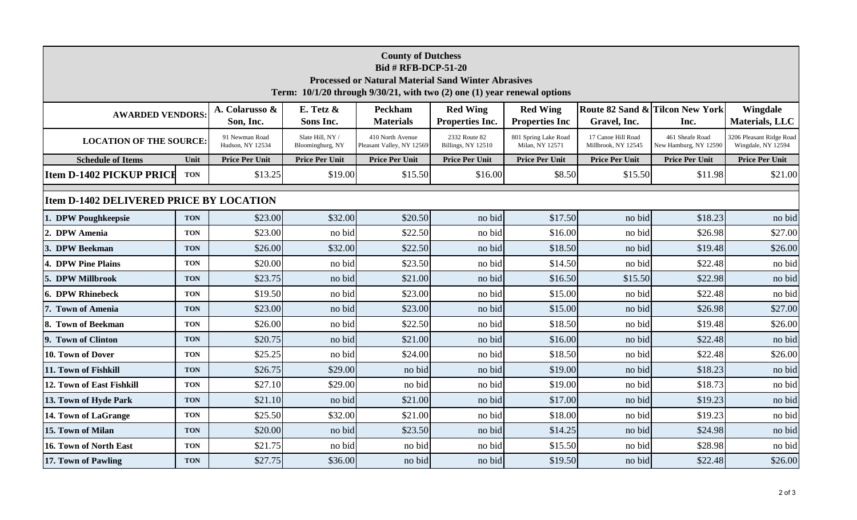| <b>County of Dutchess</b><br><b>Bid # RFB-DCP-51-20</b><br><b>Processed or Natural Material Sand Winter Abrasives</b><br>Term: 10/1/20 through 9/30/21, with two (2) one (1) year renewal options |            |                                    |                                      |                                               |                                     |                                          |                                           |                                          |                                                |  |  |
|---------------------------------------------------------------------------------------------------------------------------------------------------------------------------------------------------|------------|------------------------------------|--------------------------------------|-----------------------------------------------|-------------------------------------|------------------------------------------|-------------------------------------------|------------------------------------------|------------------------------------------------|--|--|
| <b>AWARDED VENDORS:</b>                                                                                                                                                                           |            | A. Colarusso &<br>Son, Inc.        | E. Tetz &<br>Sons Inc.               | <b>Peckham</b><br><b>Materials</b>            | <b>Red Wing</b><br>Properties Inc.  | <b>Red Wing</b><br><b>Properties Inc</b> | Gravel, Inc.                              | Route 82 Sand & Tilcon New York<br>Inc.  | Wingdale<br>Materials, LLC                     |  |  |
| <b>LOCATION OF THE SOURCE:</b>                                                                                                                                                                    |            | 91 Newman Road<br>Hudson, NY 12534 | Slate Hill, NY /<br>Bloomingburg, NY | 410 North Avenue<br>Pleasant Valley, NY 12569 | 2332 Route 82<br>Billings, NY 12510 | 801 Spring Lake Road<br>Milan, NY 12571  | 17 Canoe Hill Road<br>Millbrook, NY 12545 | 461 Sheafe Road<br>New Hamburg, NY 12590 | 3206 Pleasant Ridge Road<br>Wingdale, NY 12594 |  |  |
| <b>Schedule of Items</b>                                                                                                                                                                          | Unit       | <b>Price Per Unit</b>              | <b>Price Per Unit</b>                | <b>Price Per Unit</b>                         | <b>Price Per Unit</b>               | <b>Price Per Unit</b>                    | <b>Price Per Unit</b>                     | <b>Price Per Unit</b>                    | <b>Price Per Unit</b>                          |  |  |
| <b>Item D-1402 PICKUP PRICE</b>                                                                                                                                                                   | <b>TON</b> | \$13.25                            | \$19.00                              | \$15.50                                       | \$16.00                             | \$8.50                                   | \$15.50                                   | \$11.98                                  | \$21.00                                        |  |  |
| <b>Item D-1402 DELIVERED PRICE BY LOCATION</b>                                                                                                                                                    |            |                                    |                                      |                                               |                                     |                                          |                                           |                                          |                                                |  |  |
| 1. DPW Poughkeepsie                                                                                                                                                                               | <b>TON</b> | \$23.00                            | \$32.00                              | \$20.50                                       | no bid                              | \$17.50                                  | no bid                                    | \$18.23                                  | no bid                                         |  |  |
| 2. DPW Amenia                                                                                                                                                                                     | <b>TON</b> | \$23.00                            | no bid                               | \$22.50                                       | no bid                              | \$16.00                                  | no bid                                    | \$26.98                                  | \$27.00                                        |  |  |
| 3. DPW Beekman                                                                                                                                                                                    | <b>TON</b> | \$26.00                            | \$32.00                              | \$22.50                                       | no bid                              | \$18.50                                  | no bid                                    | \$19.48                                  | \$26.00                                        |  |  |
| 4. DPW Pine Plains                                                                                                                                                                                | <b>TON</b> | \$20.00                            | no bid                               | \$23.50                                       | no bid                              | \$14.50                                  | no bid                                    | \$22.48                                  | no bid                                         |  |  |
| 5. DPW Millbrook                                                                                                                                                                                  | <b>TON</b> | \$23.75                            | no bid                               | \$21.00                                       | no bid                              | \$16.50                                  | \$15.50                                   | \$22.98                                  | no bid                                         |  |  |
| <b>6. DPW Rhinebeck</b>                                                                                                                                                                           | <b>TON</b> | \$19.50                            | no bid                               | \$23.00                                       | no bid                              | \$15.00                                  | no bid                                    | \$22.48                                  | no bid                                         |  |  |
| 7. Town of Amenia                                                                                                                                                                                 | <b>TON</b> | \$23.00                            | no bid                               | \$23.00                                       | no bid                              | \$15.00                                  | no bid                                    | \$26.98                                  | \$27.00                                        |  |  |
| 8. Town of Beekman                                                                                                                                                                                | <b>TON</b> | \$26.00                            | no bid                               | \$22.50                                       | no bid                              | \$18.50                                  | no bid                                    | \$19.48                                  | \$26.00                                        |  |  |
| 9. Town of Clinton                                                                                                                                                                                | <b>TON</b> | \$20.75                            | no bid                               | \$21.00                                       | no bid                              | \$16.00                                  | no bid                                    | \$22.48                                  | no bid                                         |  |  |
| 10. Town of Dover                                                                                                                                                                                 | <b>TON</b> | \$25.25                            | no bid                               | \$24.00                                       | no bid                              | \$18.50                                  | no bid                                    | \$22.48                                  | \$26.00                                        |  |  |
| 11. Town of Fishkill                                                                                                                                                                              | <b>TON</b> | \$26.75                            | \$29.00                              | no bid                                        | no bid                              | \$19.00                                  | no bid                                    | \$18.23                                  | no bid                                         |  |  |
| 12. Town of East Fishkill                                                                                                                                                                         | <b>TON</b> | \$27.10                            | \$29.00                              | no bid                                        | no bid                              | \$19.00                                  | no bid                                    | \$18.73                                  | no bid                                         |  |  |
| 13. Town of Hyde Park                                                                                                                                                                             | <b>TON</b> | \$21.10                            | no bid                               | \$21.00                                       | no bid                              | \$17.00                                  | no bid                                    | \$19.23                                  | no bid                                         |  |  |
| 14. Town of LaGrange                                                                                                                                                                              | <b>TON</b> | \$25.50                            | \$32.00                              | \$21.00                                       | no bid                              | \$18.00                                  | no bid                                    | \$19.23                                  | no bid                                         |  |  |
| 15. Town of Milan                                                                                                                                                                                 | <b>TON</b> | \$20.00                            | no bid                               | \$23.50                                       | no bid                              | \$14.25                                  | no bid                                    | \$24.98                                  | no bid                                         |  |  |
| 16. Town of North East                                                                                                                                                                            | <b>TON</b> | \$21.75                            | no bid                               | no bid                                        | no bid                              | \$15.50                                  | no bid                                    | \$28.98                                  | no bid                                         |  |  |
| 17. Town of Pawling                                                                                                                                                                               | <b>TON</b> | \$27.75                            | \$36.00                              | no bid                                        | no bid                              | \$19.50                                  | no bid                                    | \$22.48                                  | \$26.00                                        |  |  |